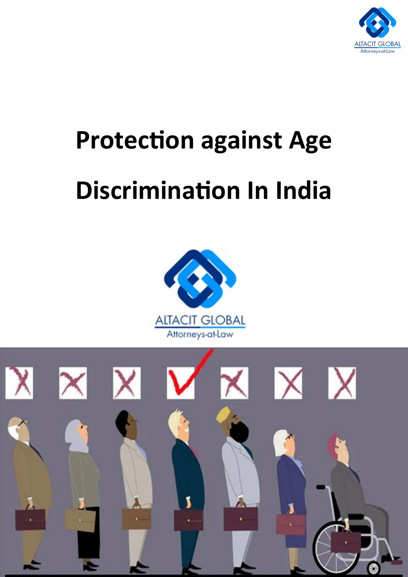

## **Protection against Age Discrimination In India**



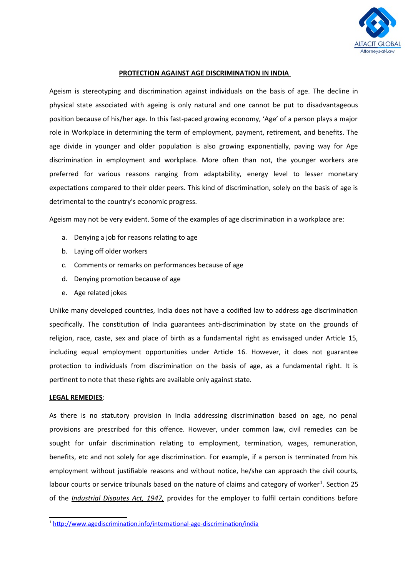

## **PROTECTION AGAINST AGE DISCRIMINATION IN INDIA**

Ageism is stereotyping and discrimination against individuals on the basis of age. The decline in physical state associated with ageing is only natural and one cannot be put to disadvantageous position because of his/her age. In this fast-paced growing economy, 'Age' of a person plays a major role in Workplace in determining the term of employment, payment, retirement, and benefits. The age divide in younger and older population is also growing exponentially, paving way for Age discrimination in employment and workplace. More often than not, the younger workers are preferred for various reasons ranging from adaptability, energy level to lesser monetary expectations compared to their older peers. This kind of discrimination, solely on the basis of age is detrimental to the country's economic progress.

Ageism may not be very evident. Some of the examples of age discrimination in a workplace are:

- a. Denying a job for reasons relating to age
- b. Laying off older workers
- c. Comments or remarks on performances because of age
- d. Denying promotion because of age
- e. Age related jokes

Unlike many developed countries, India does not have a codified law to address age discrimination specifically. The constitution of India guarantees anti-discrimination by state on the grounds of religion, race, caste, sex and place of birth as a fundamental right as envisaged under Article 15, including equal employment opportunities under Article 16. However, it does not guarantee protection to individuals from discrimination on the basis of age, as a fundamental right. It is pertinent to note that these rights are available only against state.

## **LEGAL REMEDIES**:

As there is no statutory provision in India addressing discrimination based on age, no penal provisions are prescribed for this offence. However, under common law, civil remedies can be sought for unfair discrimination relating to employment, termination, wages, remuneration, benefits, etc and not solely for age discrimination. For example, if a person is terminated from his employment without justifiable reasons and without notice, he/she can approach the civil courts, labour courts or service tribunals based on the nature of claims and category of worker<sup>[1](#page-1-0)</sup>. Section 25 of the *Industrial Disputes Act, 1947,* provides for the employer to fulfil certain conditions before

<span id="page-1-0"></span><sup>&</sup>lt;sup>1</sup>[http://www.agediscrimination.info/international-age-discrimination/india](http://www.agediscrimination.info/international-age-discrimination/india#:~:text=Since%20there%20is%20no%20codified,in%20relation%20to%20age%20discrimination.)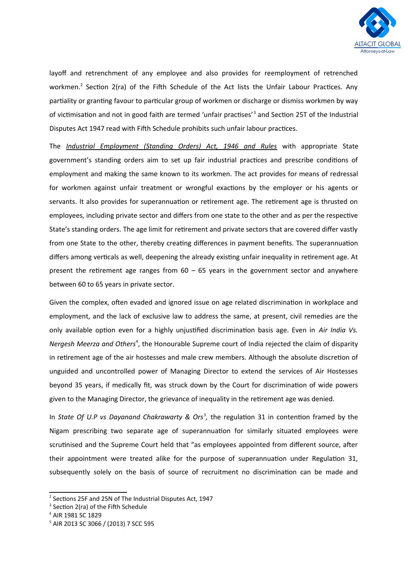

layoff and retrenchment of any employee and also provides for reemployment of retrenched workmen.<sup>[2](#page-2-0)</sup> Section 2(ra) of the Fifth Schedule of the Act lists the Unfair Labour Practices. Any partiality or granting favour to particular group of workmen or discharge or dismiss workmen by way of victimisation and not in good faith are termed 'unfair practises'<sup>[3](#page-2-1)</sup> and Section 25T of the Industrial Disputes Act 1947 read with Fifth Schedule prohibits such unfair labour practices.

The *Industrial Employment (Standing Orders) Act, 1946 and Rules* with appropriate State government's standing orders aim to set up fair industrial practices and prescribe conditions of employment and making the same known to its workmen. The act provides for means of redressal for workmen against unfair treatment or wrongful exactions by the employer or his agents or servants. It also provides for superannuation or retirement age. The retirement age is thrusted on employees, including private sector and differs from one state to the other and as per the respective State's standing orders. The age limit for retirement and private sectors that are covered differ vastly from one State to the other, thereby creating differences in payment benefits. The superannuation differs among verticals as well, deepening the already existing unfair inequality in retirement age. At present the retirement age ranges from  $60 - 65$  years in the government sector and anywhere between 60 to 65 years in private sector.

Given the complex, often evaded and ignored issue on age related discrimination in workplace and employment, and the lack of exclusive law to address the same, at present, civil remedies are the only available option even for a highly unjustified discrimination basis age. Even in *Air India Vs.* Nergesh Meerza and Others<sup>[4](#page-2-2)</sup>, the Honourable Supreme court of India rejected the claim of disparity in retirement age of the air hostesses and male crew members. Although the absolute discretion of unguided and uncontrolled power of Managing Director to extend the services of Air Hostesses beyond 35 years, if medically fit, was struck down by the Court for discrimination of wide powers given to the Managing Director, the grievance of inequality in the retirement age was denied.

In *State Of U.P vs Dayanand Chakrawarty & Ors<sup>[5](#page-2-3)</sup>,* the regulation 31 in contention framed by the Nigam prescribing two separate age of superannuation for similarly situated employees were scrutinised and the Supreme Court held that "as employees appointed from different source, after their appointment were treated alike for the purpose of superannuation under Regulation 31, subsequently solely on the basis of source of recruitment no discrimination can be made and

<span id="page-2-0"></span><sup>&</sup>lt;sup>2</sup> Sections 25F and 25N of The Industrial Disputes Act, 1947

<span id="page-2-1"></span><sup>&</sup>lt;sup>3</sup> Section 2(ra) of the Fifth Schedule

<span id="page-2-2"></span><sup>4</sup> AIR 1981 SC 1829

<span id="page-2-3"></span><sup>5</sup> AIR 2013 SC 3066 / (2013) 7 SCC 595